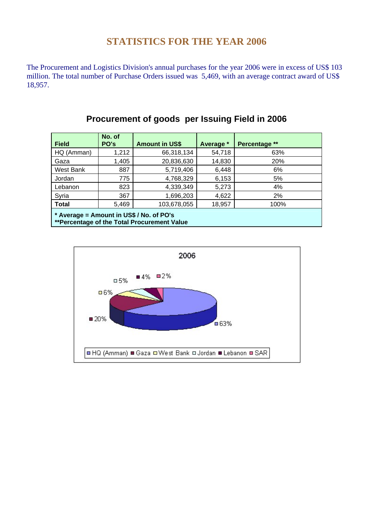## **STATISTICS FOR THE YEAR 2006**

The Procurement and Logistics Division's annual purchases for the year 2006 were in excess of US\$ 103 million. The total number of Purchase Orders issued was 5,469, with an average contract award of US\$ 18,957.

| <b>Field</b>                                                                            | No. of<br>PO's | <b>Amount in US\$</b> | Average * | Percentage ** |  |
|-----------------------------------------------------------------------------------------|----------------|-----------------------|-----------|---------------|--|
| HQ (Amman)                                                                              | 1,212          | 66,318,134            | 54,718    | 63%           |  |
| Gaza                                                                                    | 1,405          | 20,836,630            | 14,830    | 20%           |  |
| West Bank                                                                               | 887            | 5,719,406             | 6,448     | 6%            |  |
| Jordan                                                                                  | 775            | 4,768,329             | 6,153     | 5%            |  |
| Lebanon                                                                                 | 823            | 4,339,349             | 5,273     | 4%            |  |
| Syria                                                                                   | 367            | 1,696,203             | 4,622     | 2%            |  |
| <b>Total</b>                                                                            | 5,469          | 103,678,055           | 18,957    | 100%          |  |
| * Average = Amount in US\$ / No. of PO's<br>**Percentage of the Total Procurement Value |                |                       |           |               |  |

## **Procurement of goods per Issuing Field in 2006**